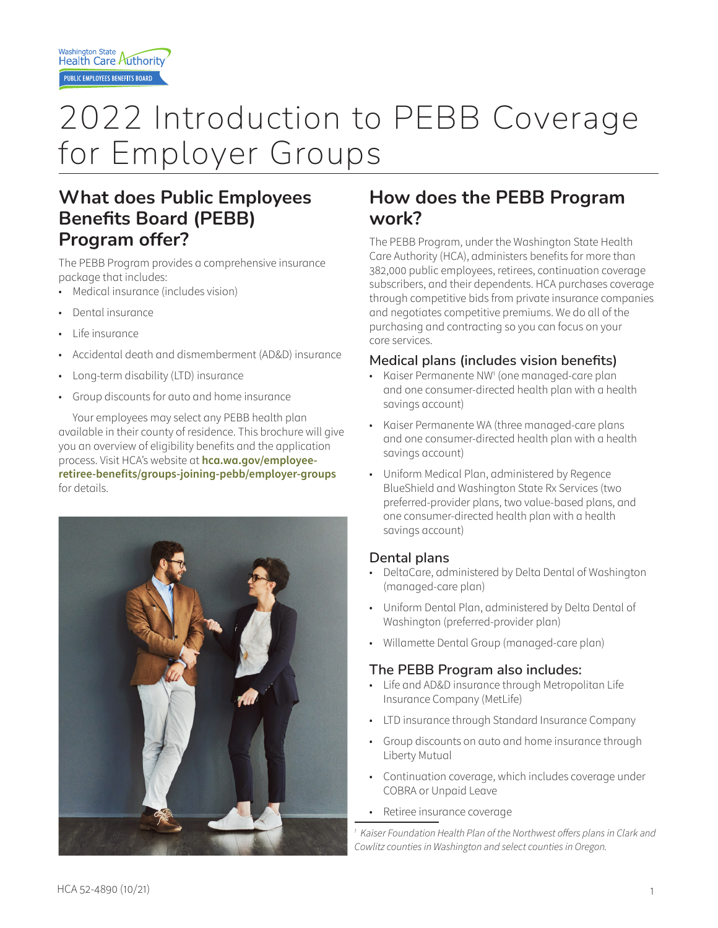# 2022 Introduction to PEBB Coverage for Employer Groups

### **What does Public Employees Benefits Board (PEBB) Program offer?**

The PEBB Program provides a comprehensive insurance package that includes:

- Medical insurance (includes vision)
- Dental insurance
- Life insurance
- Accidental death and dismemberment (AD&D) insurance
- Long-term disability (LTD) insurance
- Group discounts for auto and home insurance

Your employees may select any PEBB health plan available in their county of residence. This brochure will give you an overview of eligibility benefits and the application process. Visit HCA's website at **hca.wa.gov/employeeretiree-benefits/groups-joining-pebb/employer-groups** for details.



### **How does the PEBB Program work?**

The PEBB Program, under the Washington State Health Care Authority (HCA), administers benefits for more than 382,000 public employees, retirees, continuation coverage subscribers, and their dependents. HCA purchases coverage through competitive bids from private insurance companies and negotiates competitive premiums. We do all of the purchasing and contracting so you can focus on your core services.

#### **Medical plans (includes vision benefits)**

- Kaiser Permanente NW1 (one managed-care plan and one consumer-directed health plan with a health savings account)
- Kaiser Permanente WA (three managed-care plans and one consumer-directed health plan with a health savings account)
- Uniform Medical Plan, administered by Regence BlueShield and Washington State Rx Services (two preferred-provider plans, two value-based plans, and one consumer-directed health plan with a health savings account)

#### **Dental plans**

- DeltaCare, administered by Delta Dental of Washington (managed-care plan)
- Uniform Dental Plan, administered by Delta Dental of Washington (preferred-provider plan)
- Willamette Dental Group (managed-care plan)

#### **The PEBB Program also includes:**

- Life and AD&D insurance through Metropolitan Life Insurance Company (MetLife)
- LTD insurance through Standard Insurance Company
- Group discounts on auto and home insurance through Liberty Mutual
- Continuation coverage, which includes coverage under COBRA or Unpaid Leave
- Retiree insurance coverage

<sup>1</sup> Kaiser Foundation Health Plan of the Northwest offers plans in Clark and *Cowlitz counties in Washington and select counties in Oregon.*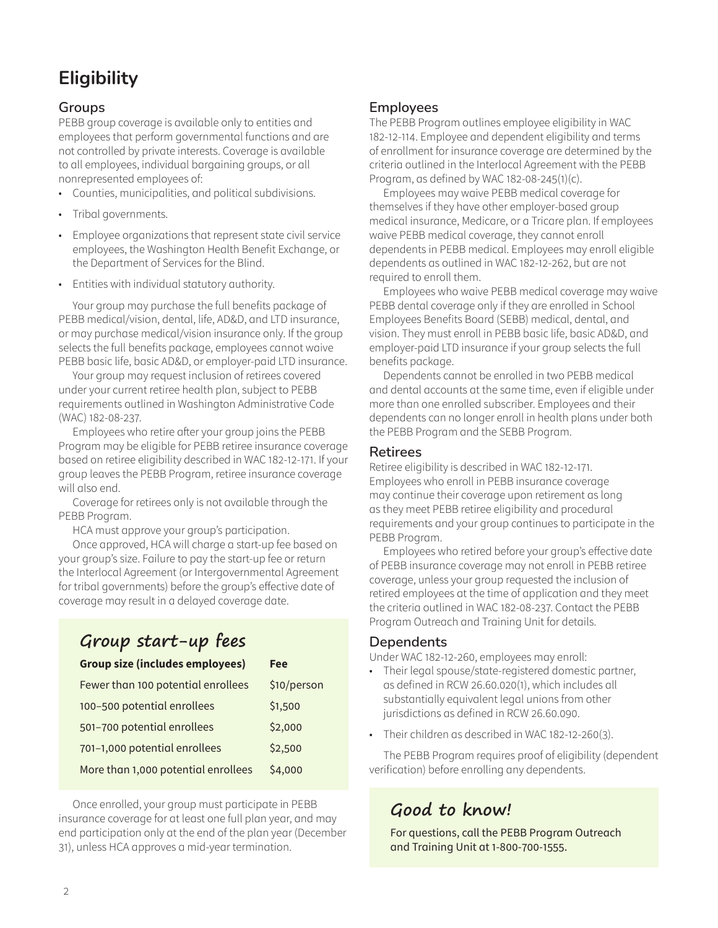### **Eligibility**

#### **Groups**

PEBB group coverage is available only to entities and employees that perform governmental functions and are not controlled by private interests. Coverage is available to all employees, individual bargaining groups, or all nonrepresented employees of:

- Counties, municipalities, and political subdivisions.
- Tribal governments.
- Employee organizations that represent state civil service employees, the Washington Health Benefit Exchange, or the Department of Services for the Blind.
- Entities with individual statutory authority.

Your group may purchase the full benefits package of PEBB medical/vision, dental, life, AD&D, and LTD insurance, or may purchase medical/vision insurance only. If the group selects the full benefits package, employees cannot waive PEBB basic life, basic AD&D, or employer-paid LTD insurance.

Your group may request inclusion of retirees covered under your current retiree health plan, subject to PEBB requirements outlined in Washington Administrative Code (WAC) 182-08-237.

Employees who retire after your group joins the PEBB Program may be eligible for PEBB retiree insurance coverage based on retiree eligibility described in WAC 182-12-171. If your group leaves the PEBB Program, retiree insurance coverage will also end.

Coverage for retirees only is not available through the PEBB Program.

HCA must approve your group's participation.

Once approved, HCA will charge a start-up fee based on your group's size. Failure to pay the start-up fee or return the Interlocal Agreement (or Intergovernmental Agreement for tribal governments) before the group's effective date of coverage may result in a delayed coverage date.

## **Group start-up fees**

| <b>Group size (includes employees)</b> | <b>Fee</b>  |
|----------------------------------------|-------------|
| Fewer than 100 potential enrollees     | \$10/person |
| 100-500 potential enrollees            | \$1,500     |
| 501-700 potential enrollees            | \$2,000     |
| 701-1,000 potential enrollees          | \$2,500     |
| More than 1,000 potential enrollees    | \$4,000     |

Once enrolled, your group must participate in PEBB insurance coverage for at least one full plan year, and may end participation only at the end of the plan year (December 31), unless HCA approves a mid-year termination.

#### **Employees**

The PEBB Program outlines employee eligibility in WAC 182-12-114. Employee and dependent eligibility and terms of enrollment for insurance coverage are determined by the criteria outlined in the Interlocal Agreement with the PEBB Program, as defined by WAC 182-08-245(1)(c).

Employees may waive PEBB medical coverage for themselves if they have other employer-based group medical insurance, Medicare, or a Tricare plan. If employees waive PEBB medical coverage, they cannot enroll dependents in PEBB medical. Employees may enroll eligible dependents as outlined in WAC 182-12-262, but are not required to enroll them.

Employees who waive PEBB medical coverage may waive PEBB dental coverage only if they are enrolled in School Employees Benefits Board (SEBB) medical, dental, and vision. They must enroll in PEBB basic life, basic AD&D, and employer-paid LTD insurance if your group selects the full benefits package.

Dependents cannot be enrolled in two PEBB medical and dental accounts at the same time, even if eligible under more than one enrolled subscriber. Employees and their dependents can no longer enroll in health plans under both the PEBB Program and the SEBB Program.

#### **Retirees**

Retiree eligibility is described in WAC 182-12-171. Employees who enroll in PEBB insurance coverage may continue their coverage upon retirement as long as they meet PEBB retiree eligibility and procedural requirements and your group continues to participate in the PEBB Program.

Employees who retired before your group's effective date of PEBB insurance coverage may not enroll in PEBB retiree coverage, unless your group requested the inclusion of retired employees at the time of application and they meet the criteria outlined in WAC 182-08-237. Contact the PEBB Program Outreach and Training Unit for details.

#### **Dependents**

Under WAC 182-12-260, employees may enroll:

- Their legal spouse/state-registered domestic partner, as defined in RCW 26.60.020(1), which includes all substantially equivalent legal unions from other jurisdictions as defined in RCW 26.60.090.
- Their children as described in WAC 182-12-260(3).

The PEBB Program requires proof of eligibility (dependent verification) before enrolling any dependents.

### **Good to know!**

For questions, call the PEBB Program Outreach and Training Unit at 1-800-700-1555.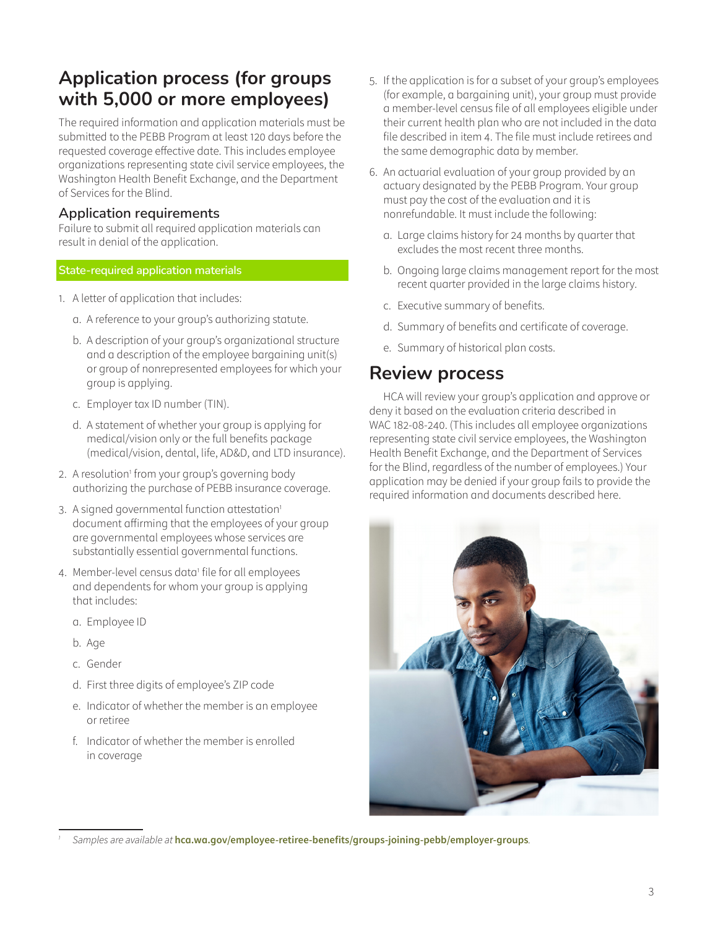### **Application process (for groups with 5,000 or more employees)**

The required information and application materials must be submitted to the PEBB Program at least 120 days before the requested coverage effective date. This includes employee organizations representing state civil service employees, the Washington Health Benefit Exchange, and the Department of Services for the Blind.

#### **Application requirements**

Failure to submit all required application materials can result in denial of the application.

#### **State-required application materials**

- 1. A letter of application that includes:
	- a. A reference to your group's authorizing statute.
	- b. A description of your group's organizational structure and a description of the employee bargaining unit(s) or group of nonrepresented employees for which your group is applying.
	- c. Employer tax ID number (TIN).
	- d. A statement of whether your group is applying for medical/vision only or the full benefits package (medical/vision, dental, life, AD&D, and LTD insurance).
- 2. A resolution<sup>1</sup> from your group's governing body authorizing the purchase of PEBB insurance coverage.
- 3. A signed governmental function attestation<sup>1</sup> document affirming that the employees of your group are governmental employees whose services are substantially essential governmental functions.
- 4. Member-level census data<sup>1</sup> file for all employees and dependents for whom your group is applying that includes:
	- a. Employee ID
	- b. Age
	- c. Gender
	- d. First three digits of employee's ZIP code
	- e. Indicator of whether the member is an employee or retiree
	- f. Indicator of whether the member is enrolled in coverage
- 5. If the application is for a subset of your group's employees (for example, a bargaining unit), your group must provide a member-level census file of all employees eligible under their current health plan who are not included in the data file described in item 4. The file must include retirees and the same demographic data by member.
- 6. An actuarial evaluation of your group provided by an actuary designated by the PEBB Program. Your group must pay the cost of the evaluation and it is nonrefundable. It must include the following:
	- a. Large claims history for 24 months by quarter that excludes the most recent three months.
	- b. Ongoing large claims management report for the most recent quarter provided in the large claims history.
	- c. Executive summary of benefits.
	- d. Summary of benefits and certificate of coverage.
	- e. Summary of historical plan costs.

#### **Review process**

HCA will review your group's application and approve or deny it based on the evaluation criteria described in WAC 182-08-240. (This includes all employee organizations representing state civil service employees, the Washington Health Benefit Exchange, and the Department of Services for the Blind, regardless of the number of employees.) Your application may be denied if your group fails to provide the required information and documents described here.



*<sup>1</sup> Samples are available at* **hca.wa.gov/employee-retiree-benefits/groups-joining-pebb/employer-groups***.*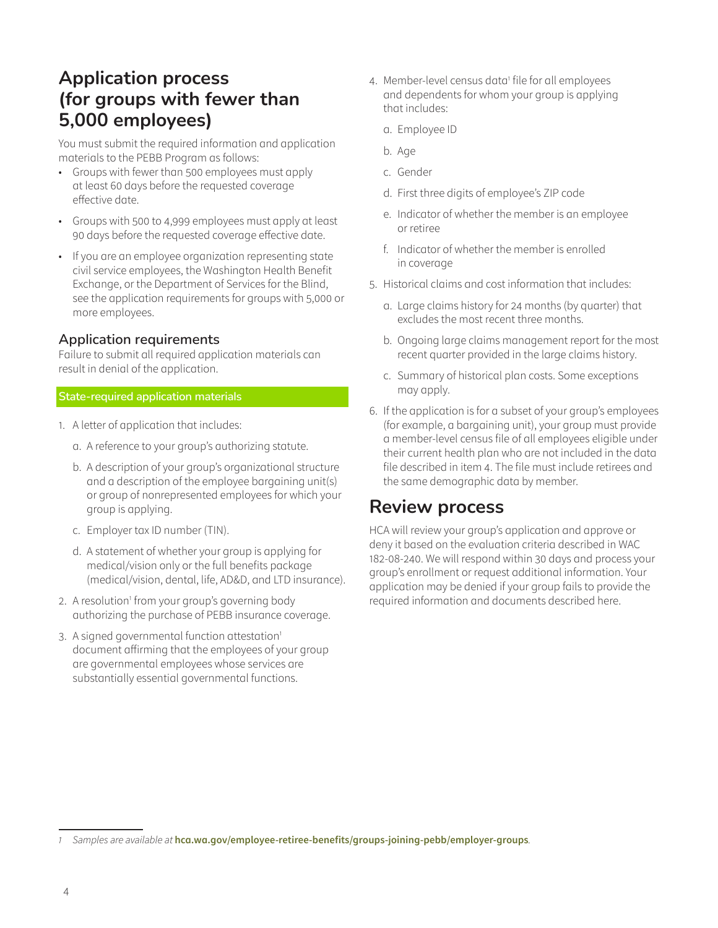### **Application process (for groups with fewer than 5,000 employees)**

You must submit the required information and application materials to the PEBB Program as follows:

- Groups with fewer than 500 employees must apply at least 60 days before the requested coverage effective date.
- Groups with 500 to 4,999 employees must apply at least 90 days before the requested coverage effective date.
- If you are an employee organization representing state civil service employees, the Washington Health Benefit Exchange, or the Department of Services for the Blind, see the application requirements for groups with 5,000 or more employees.

#### **Application requirements**

Failure to submit all required application materials can result in denial of the application.

#### **State-required application materials**

- 1. A letter of application that includes:
	- a. A reference to your group's authorizing statute.
	- b. A description of your group's organizational structure and a description of the employee bargaining unit(s) or group of nonrepresented employees for which your group is applying.
	- c. Employer tax ID number (TIN).
	- d. A statement of whether your group is applying for medical/vision only or the full benefits package (medical/vision, dental, life, AD&D, and LTD insurance).
- 2. A resolution<sup>1</sup> from your group's governing body authorizing the purchase of PEBB insurance coverage.
- 3. A signed governmental function attestation<sup>1</sup> document affirming that the employees of your group are governmental employees whose services are substantially essential governmental functions.
- 4. Member-level census data<sup>1</sup> file for all employees and dependents for whom your group is applying that includes:
	- a. Employee ID
	- b. Age
	- c. Gender
	- d. First three digits of employee's ZIP code
	- e. Indicator of whether the member is an employee or retiree
	- f. Indicator of whether the member is enrolled in coverage
- 5. Historical claims and cost information that includes:
	- a. Large claims history for 24 months (by quarter) that excludes the most recent three months.
	- b. Ongoing large claims management report for the most recent quarter provided in the large claims history.
	- c. Summary of historical plan costs. Some exceptions may apply.
- 6. If the application is for a subset of your group's employees (for example, a bargaining unit), your group must provide a member-level census file of all employees eligible under their current health plan who are not included in the data file described in item 4. The file must include retirees and the same demographic data by member.

### **Review process**

HCA will review your group's application and approve or deny it based on the evaluation criteria described in WAC 182-08-240. We will respond within 30 days and process your group's enrollment or request additional information. Your application may be denied if your group fails to provide the required information and documents described here.

*<sup>1</sup> Samples are available at* **hca.wa.gov/employee-retiree-benefits/groups-joining-pebb/employer-groups***.*